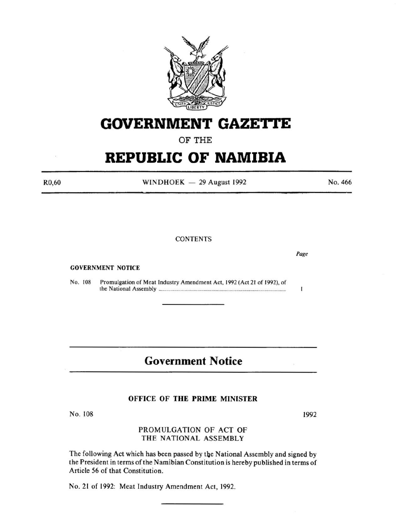

# **GOVERNMENT GAZETtE**

OF THE

# **REPUBLIC OF NAMIBIA**

R0,60

 $WINDHOEK - 29$  August 1992

#### **CONTENTS**

GOVERNMENT NOTICE

No. 108 Promulgation of Meat Industry Amendment Act, 1992 (Act 21 of 1992}, of the National Assembly ..................................................................................................... .

## **Government Notice**

#### OFFICE OF THE PRIME MINISTER

No. 108

## PROMULGATION OF ACT OF THE NATIONAL ASSEMBLY

The following Act which has been passed by the National Assembly and signed by the President in terms of the Namibian Constitution is hereby published in terms of Article 56 of that Constitution.

No. 21 of 1992: Meat Industry Amendment Act, 1992.



ī

*Page* 

No. 466

1992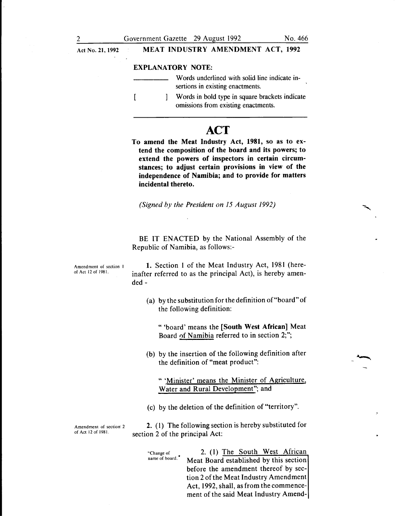#### EXPLANATORY NOTE:

| Words underlined with solid line indicate in-<br>sertions in existing enactments.     |
|---------------------------------------------------------------------------------------|
| Words in bold type in square brackets indicate<br>omissions from existing enactments. |

## **ACT**

To amend the Meat Industry Act, 1981, so as to extend the composition of the board and its powers; to extend the powers of inspectors in certain circumstances; to adjust certain provisions in view of the independence of Namibia; and to provide for matters incidental thereto.

*(Signed by the President on 15 August 1992)* 

BE IT ENACTED by the National Assembly of the Republic of Namibia, as follows:-

1. Section 1 of the Meat Industry Act, 1981 (hereinafter referred to as the principal Act), is hereby amended-

> (a) by the substitution for the definition of"board" of the following definition:

"'board' means the [South West African] Meat Board 0f Namibia referred to in section 2;";

(b) by the insertion of the following definition after the definition of "meat product":

" 'Minister' means the Minister of Agriculture, Water and Rural Development"; and

(c) by the deletion of the definition of "territory".

Amendment of section 2 of Act 12 of 1981.

2. ( 1) The following section is hereby substituted for section 2 of the principal Act:

"Change of name of board. •

2. (1) The South West African Meat Board established by this section before the amendment thereof by section 2 of the Meat Industry Amendment Act, 1992, shall, as from the commencement of the said Meat Industry Amend-

Amendment of section I of Act 12 of 1981.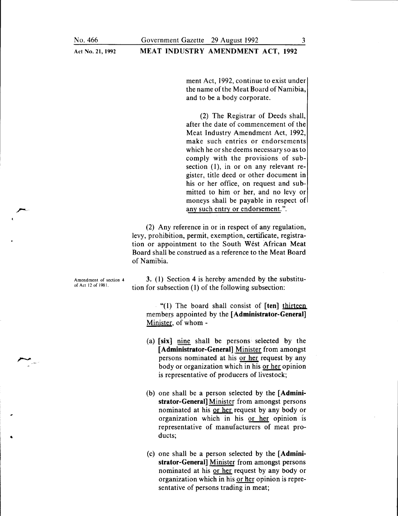Act No. 21, 1992

ment Act, 1992, continue to exist under the name of the Meat Board of Namibia. and to be a body corporate.

(2) The Registrar of Deeds shall, after the date of commencement of the Meat Industry Amendment Act, 1992, make such entries or endorsements which he or she deems necessary so as to comply with the provisions of subsection  $(1)$ , in or on any relevant register, title deed or other document in his or her office, on request and submitted to him or her, and no levy or moneys shall be payable in respect of any such entry or endorsement.".

(2) Any reference in or in respect of any regulation, levy, prohibition, permit, exemption, certificate, registration or appointment to the South West African Meat Board shall be construed as a reference to the Meat Board of Namibia.

Amendment of section 4 of Act 12 of 1981.

3. (1) Section 4 is hereby amended by the substitution for subsection (1) of the following subsection:

"(1) The board shall consist of [ten] thirteen members appointed by the  $[Administrator-General]$ Minister, of whom -

- (a) [six] nine shall be persons selected by the [Administrator-General] Minister from amongst persons nominated at his or her request by any body or organization which in his or her opinion is representative of producers of livestock;
- (b) one shall be a person selected by the [ Administrator-General] Minister from amongst persons nominated at his or her request by any body or organization which in his or her opinion is representative of manufacturers of meat products;
- (c) one shall be a person selected by the [Administrator-General] Minister from amongst persons nominated at his or her request by any body or organization which in his or her opinion is representative of persons trading in meat;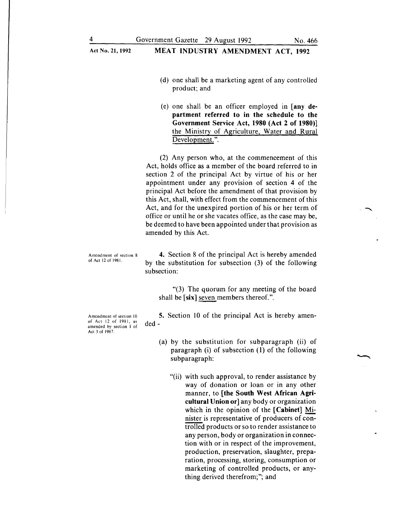- (d) one shall be a marketing agent of any controlled product; and
- (e) one shall be an officer employed in [any department referred to in the schedule to the Government Service Act, 1980 (Act 2 of 1980)] the Ministry of Agriculture, Water and Rural Development.".

(2) Any person who, at the commencement of this Act, holds office as a member of the board referred to in section 2 of the principal Act by virtue of his or her appointment under any provision of section 4 of the principal Act before the amendment of that provision by this Act, shall, with effect from the commencement of this Act, and for the unexpired portion of his or her term of office or until he or she vacates office, as the case may be, be deemed to have been appointed under that provision as amended by this Act.

Amendment of section 8 of Act 12 of 1981.

4. Section 8 of the principal Act is hereby amended by the substitution for subsection (3) of the following subsection:

"(3) The quorum for any meeting of the board shall be  $[six]$  seven members thereof.".

5. Section 10 of the principal Act is hereby amended-

- (a) by the substitution for subparagraph (ii) of paragraph (i) of subsection (1) of the following subparagraph:
	- "(ii) with such approval, to render assistance by way of donation or loan or in any other manner, to [the South West African Agricultural Union or] any body or organization which in the opinion of the [Cabinet] Minister is representative of producers of controlled products or so to render assistance to any person, body or organization in connection with or in respect of the improvement, production, preservation, slaughter, preparation, processing, storing, consumption or marketing of controlled products, or anything derived therefrom;"; and

Amendment of section 10 of Act 12 of 1981, as amended by section I of Act 3 of 1987.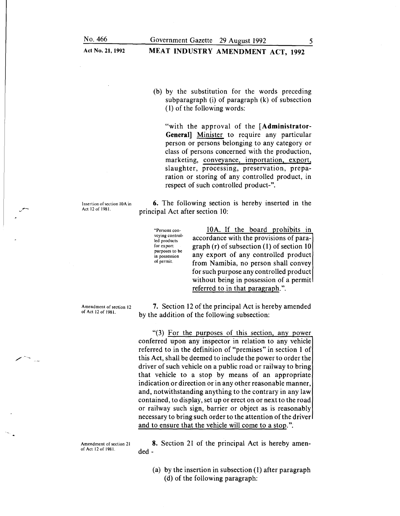## MEAT INDUSTRY AMENDMENT ACT, 1992

(b) by the substitution for the words preceding subparagraph (i) of paragraph (k) of subsection ( 1) of the following words:

"with the approval of the [Administrator-General] Minister to require any particular person or persons belonging to any category or class of persons concerned with the production, marketing, conveyance, importation, export, slaughter, processing, preservation, preparation or storing of any controlled product, in respect of such controlled product-".

Insertion of section lOA in Act 12 of 1981.

*y* -

6. The following section is hereby inserted in the principal Act after section 10:

"Persons conveying controlled products for export purposes to be in possession of permit.

10A. If the board prohibits in accordance with the provisions of paragraph (r) of subsection (1) of section 10 any export of any controlled product from Namibia, no person shall convey for such purpose any controlled product without being in possession of a permit referred to in that paragraph.".

Amendment of section 12 of Act 12 of 1981.

7. Section 12 of the principal Act is hereby amended by the addition of the following subsection:

" $(3)$  For the purposes of this section, any power conferred upon any inspector in relation to any vehicle referred to in the definition of "premises" in section 1 of this Act, shall be deemed to include the power to order the driver of such vehicle on a public road or railway to bring that vehicle to a stop by means of an appropriate indication or direction or in any other reasonable manner, and, notwithstanding anything to the contrary in any law contained, to display, set up or erect on or next to the road or railway such sign, barrier or object as is reasonably necessary to bring such order to the attention of the driver and to ensure that the vehicle will come to a stop.".

Amendment of section 21 of Act 12 of 1981.

8. Section 21 of the principal Act is hereby amended-

(a) by the insertion in subsection (1) after paragraph (d) of the following paragraph: